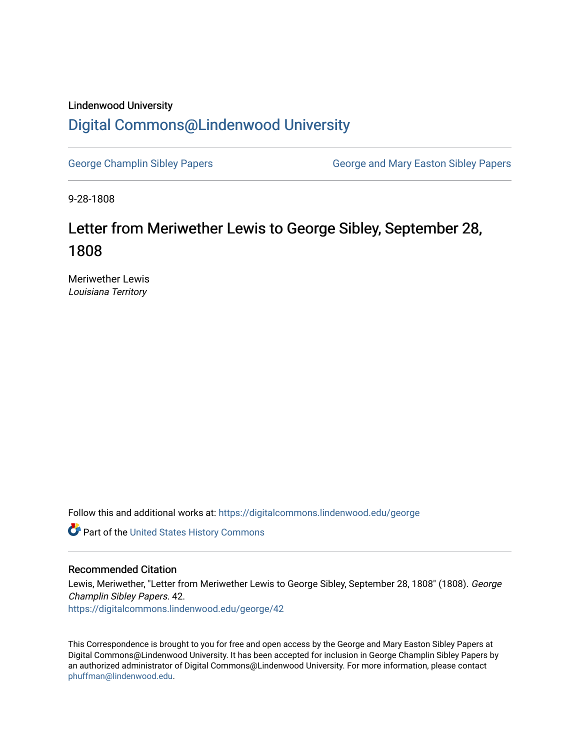## Lindenwood University

## [Digital Commons@Lindenwood University](https://digitalcommons.lindenwood.edu/)

[George Champlin Sibley Papers](https://digitalcommons.lindenwood.edu/george) George and Mary Easton Sibley Papers

9-28-1808

## Letter from Meriwether Lewis to George Sibley, September 28, 1808

Meriwether Lewis Louisiana Territory

Follow this and additional works at: [https://digitalcommons.lindenwood.edu/george](https://digitalcommons.lindenwood.edu/george?utm_source=digitalcommons.lindenwood.edu%2Fgeorge%2F42&utm_medium=PDF&utm_campaign=PDFCoverPages)

Part of the [United States History Commons](http://network.bepress.com/hgg/discipline/495?utm_source=digitalcommons.lindenwood.edu%2Fgeorge%2F42&utm_medium=PDF&utm_campaign=PDFCoverPages) 

## Recommended Citation

Lewis, Meriwether, "Letter from Meriwether Lewis to George Sibley, September 28, 1808" (1808). George Champlin Sibley Papers. 42. [https://digitalcommons.lindenwood.edu/george/42](https://digitalcommons.lindenwood.edu/george/42?utm_source=digitalcommons.lindenwood.edu%2Fgeorge%2F42&utm_medium=PDF&utm_campaign=PDFCoverPages) 

This Correspondence is brought to you for free and open access by the George and Mary Easton Sibley Papers at Digital Commons@Lindenwood University. It has been accepted for inclusion in George Champlin Sibley Papers by an authorized administrator of Digital Commons@Lindenwood University. For more information, please contact [phuffman@lindenwood.edu](mailto:phuffman@lindenwood.edu).